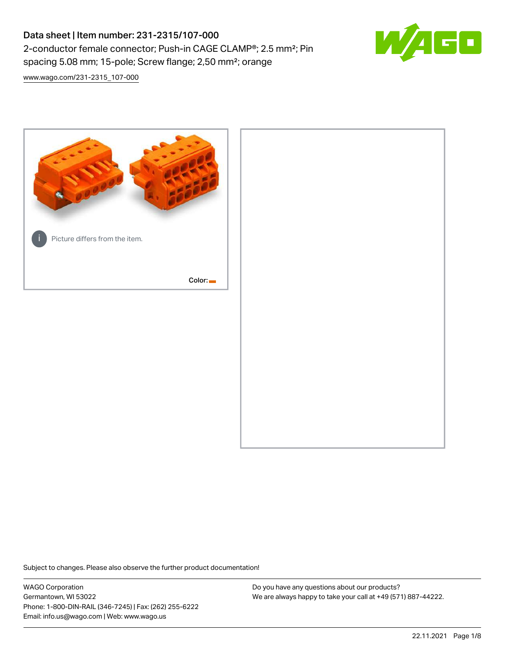# Data sheet | Item number: 231-2315/107-000 2-conductor female connector; Push-in CAGE CLAMP®; 2.5 mm²; Pin spacing 5.08 mm; 15-pole; Screw flange; 2,50 mm²; orange



[www.wago.com/231-2315\\_107-000](http://www.wago.com/231-2315_107-000)



Subject to changes. Please also observe the further product documentation!

WAGO Corporation Germantown, WI 53022 Phone: 1-800-DIN-RAIL (346-7245) | Fax: (262) 255-6222 Email: info.us@wago.com | Web: www.wago.us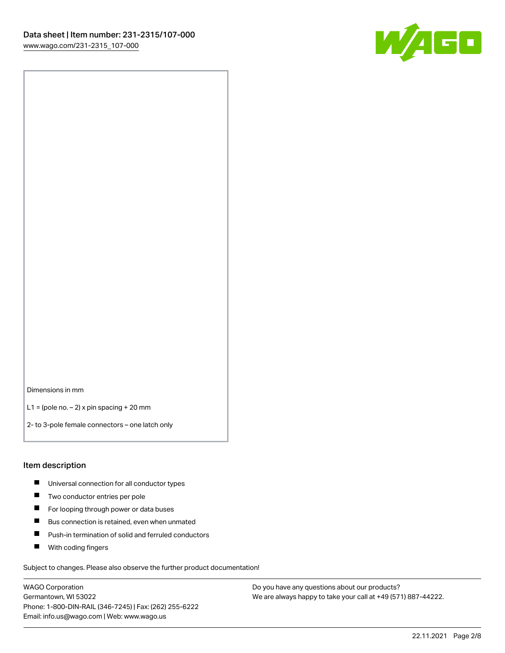

Dimensions in mm

L1 = (pole no.  $-$  2) x pin spacing  $+$  20 mm

2- to 3-pole female connectors – one latch only

#### Item description

- **Universal connection for all conductor types**
- **Two conductor entries per pole**
- $\blacksquare$ For looping through power or data buses
- $\blacksquare$ Bus connection is retained, even when unmated
- $\blacksquare$ Push-in termination of solid and ferruled conductors
- $\blacksquare$ With coding fingers

Subject to changes. Please also observe the further product documentation!

WAGO Corporation Germantown, WI 53022 Phone: 1-800-DIN-RAIL (346-7245) | Fax: (262) 255-6222 Email: info.us@wago.com | Web: www.wago.us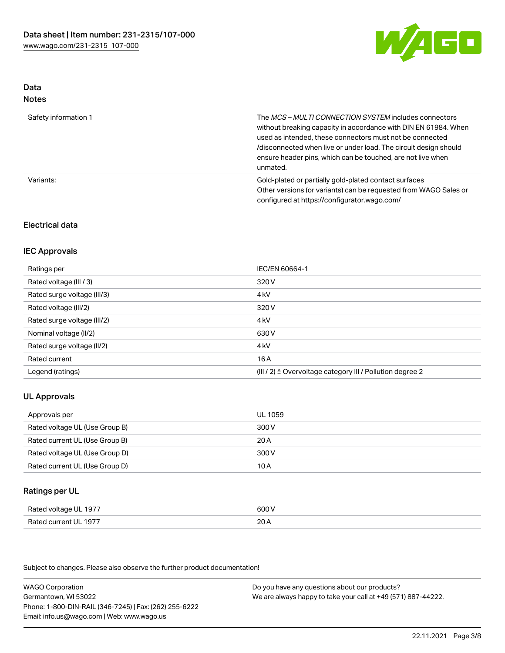

#### Data Notes

| .                    |                                                                                                                                                                                                                                                                                                                                   |
|----------------------|-----------------------------------------------------------------------------------------------------------------------------------------------------------------------------------------------------------------------------------------------------------------------------------------------------------------------------------|
| Safety information 1 | The MCS-MULTI CONNECTION SYSTEM includes connectors<br>without breaking capacity in accordance with DIN EN 61984. When<br>used as intended, these connectors must not be connected<br>/disconnected when live or under load. The circuit design should<br>ensure header pins, which can be touched, are not live when<br>unmated. |
| Variants:            | Gold-plated or partially gold-plated contact surfaces<br>Other versions (or variants) can be requested from WAGO Sales or<br>configured at https://configurator.wago.com/                                                                                                                                                         |

## Electrical data

## IEC Approvals

| Ratings per                 | IEC/EN 60664-1                                                        |
|-----------------------------|-----------------------------------------------------------------------|
| Rated voltage (III / 3)     | 320 V                                                                 |
| Rated surge voltage (III/3) | 4 <sub>k</sub> V                                                      |
| Rated voltage (III/2)       | 320 V                                                                 |
| Rated surge voltage (III/2) | 4 <sub>k</sub> V                                                      |
| Nominal voltage (II/2)      | 630 V                                                                 |
| Rated surge voltage (II/2)  | 4 <sub>k</sub> V                                                      |
| Rated current               | 16A                                                                   |
| Legend (ratings)            | $(III / 2)$ $\triangle$ Overvoltage category III / Pollution degree 2 |

## UL Approvals

| Approvals per                  | UL 1059 |
|--------------------------------|---------|
| Rated voltage UL (Use Group B) | 300 V   |
| Rated current UL (Use Group B) | 20 A    |
| Rated voltage UL (Use Group D) | 300 V   |
| Rated current UL (Use Group D) | 10 A    |

## Ratings per UL

| Rated voltage UL 1977 | 600 V |
|-----------------------|-------|
| Rated current UL 1977 | 20A   |

Subject to changes. Please also observe the further product documentation!

WAGO Corporation Germantown, WI 53022 Phone: 1-800-DIN-RAIL (346-7245) | Fax: (262) 255-6222 Email: info.us@wago.com | Web: www.wago.us Do you have any questions about our products? We are always happy to take your call at +49 (571) 887-44222.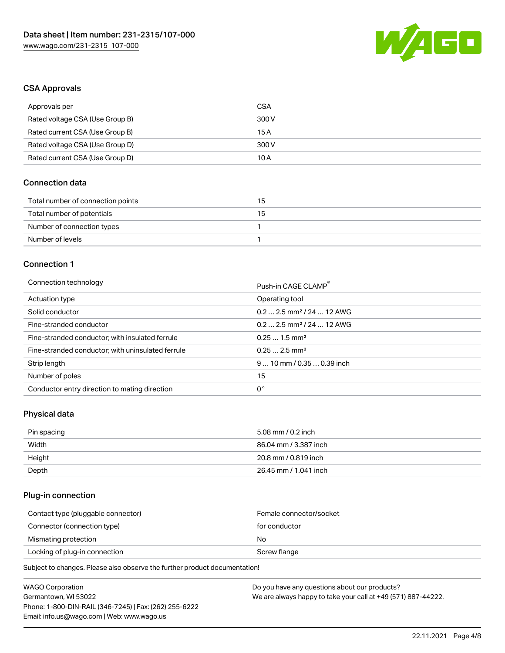

## CSA Approvals

| Approvals per                   | CSA   |
|---------------------------------|-------|
| Rated voltage CSA (Use Group B) | 300 V |
| Rated current CSA (Use Group B) | 15 A  |
| Rated voltage CSA (Use Group D) | 300 V |
| Rated current CSA (Use Group D) | 10 A  |

## Connection data

| Total number of connection points | 15 |
|-----------------------------------|----|
| Total number of potentials        | 15 |
| Number of connection types        |    |
| Number of levels                  |    |

## Connection 1

#### Connection technology **Push-in CAGE CLAMP<sup>®</sup>**

| ັ                                                 | Push-in CAGE CLAMP                     |
|---------------------------------------------------|----------------------------------------|
| Actuation type                                    | Operating tool                         |
| Solid conductor                                   | $0.2$ 2.5 mm <sup>2</sup> / 24  12 AWG |
| Fine-stranded conductor                           | $0.2$ 2.5 mm <sup>2</sup> / 24  12 AWG |
| Fine-stranded conductor; with insulated ferrule   | $0.251.5$ mm <sup>2</sup>              |
| Fine-stranded conductor; with uninsulated ferrule | $0.252.5$ mm <sup>2</sup>              |
| Strip length                                      | $910$ mm / 0.35  0.39 inch             |
| Number of poles                                   | 15                                     |
| Conductor entry direction to mating direction     | 0°                                     |

## Physical data

| Pin spacing | 5.08 mm / 0.2 inch    |
|-------------|-----------------------|
| Width       | 86.04 mm / 3.387 inch |
| Height      | 20.8 mm / 0.819 inch  |
| Depth       | 26.45 mm / 1.041 inch |

## Plug-in connection

| Contact type (pluggable connector) | Female connector/socket |
|------------------------------------|-------------------------|
| Connector (connection type)        | for conductor           |
| Mismating protection               | No                      |
| Locking of plug-in connection      | Screw flange            |
|                                    |                         |

Subject to changes. Please also observe the further product documentation!

| WAGO Corporation                                       | Do you have any questions about our products?                 |
|--------------------------------------------------------|---------------------------------------------------------------|
| Germantown, WI 53022                                   | We are always happy to take your call at +49 (571) 887-44222. |
| Phone: 1-800-DIN-RAIL (346-7245)   Fax: (262) 255-6222 |                                                               |
| Email: info.us@wago.com   Web: www.wago.us             |                                                               |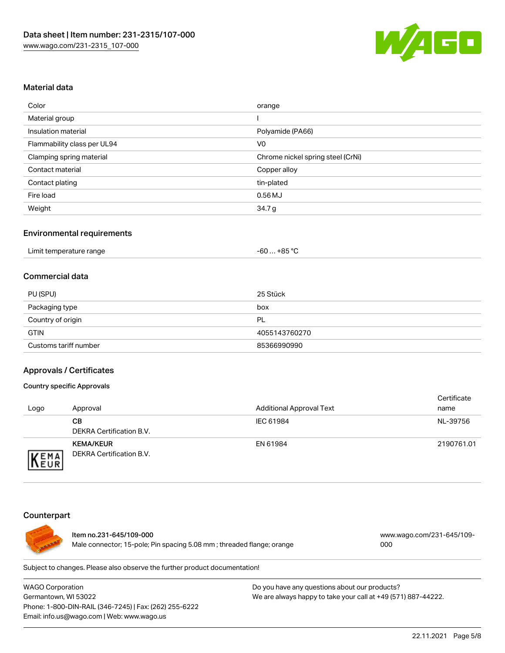

#### Material data

| Color                       | orange                            |
|-----------------------------|-----------------------------------|
| Material group              |                                   |
| Insulation material         | Polyamide (PA66)                  |
| Flammability class per UL94 | V <sub>0</sub>                    |
| Clamping spring material    | Chrome nickel spring steel (CrNi) |
| Contact material            | Copper alloy                      |
| Contact plating             | tin-plated                        |
| Fire load                   | $0.56$ MJ                         |
| Weight                      | 34.7 <sub>g</sub>                 |

#### Environmental requirements

| -60  +85 °C<br>Limit temperature range |  |
|----------------------------------------|--|
|----------------------------------------|--|

#### Commercial data

| PU (SPU)              | 25 Stück      |
|-----------------------|---------------|
| Packaging type        | box           |
| Country of origin     | - PL          |
| <b>GTIN</b>           | 4055143760270 |
| Customs tariff number | 85366990990   |

#### Approvals / Certificates

#### Country specific Approvals

| Logo                | Approval                                            | <b>Additional Approval Text</b> | Certificate<br>name |
|---------------------|-----------------------------------------------------|---------------------------------|---------------------|
|                     | CВ<br><b>DEKRA Certification B.V.</b>               | IEC 61984                       | NL-39756            |
| EMA<br><b>INEUR</b> | <b>KEMA/KEUR</b><br><b>DEKRA Certification B.V.</b> | EN 61984                        | 2190761.01          |

#### Counterpart



Item no.231-645/109-000 Male connector; 15-pole; Pin spacing 5.08 mm ; threaded flange; orange [www.wago.com/231-645/109-](https://www.wago.com/231-645/109-000) [000](https://www.wago.com/231-645/109-000)

Subject to changes. Please also observe the further product documentation!

WAGO Corporation Germantown, WI 53022 Phone: 1-800-DIN-RAIL (346-7245) | Fax: (262) 255-6222 Email: info.us@wago.com | Web: www.wago.us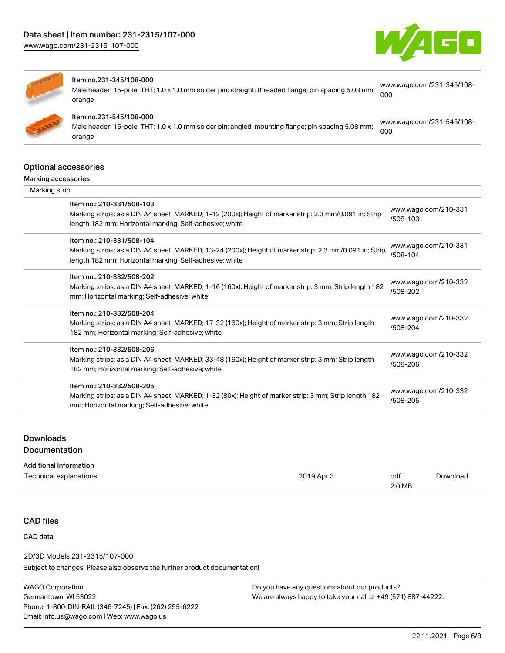



#### Item no.231-345/108-000

Male header; 15-pole; THT; 1.0 x 1.0 mm solder pin; straight; threaded flange; pin spacing 5.08 mm; orange

[www.wago.com/231-345/108-](https://www.wago.com/231-345/108-000) [000](https://www.wago.com/231-345/108-000)

Item no.231-545/108-000 Male header; 15-pole; THT; 1.0 x 1.0 mm solder pin; angled; mounting flange; pin spacing 5.08 mm; orange [www.wago.com/231-545/108-](https://www.wago.com/231-545/108-000) [000](https://www.wago.com/231-545/108-000)

## Optional accessories

#### Marking accessories

| Marking strip                                                                                                                                                                                   |                                  |
|-------------------------------------------------------------------------------------------------------------------------------------------------------------------------------------------------|----------------------------------|
| Item no.: 210-331/508-103<br>Marking strips; as a DIN A4 sheet; MARKED; 1-12 (200x); Height of marker strip: 2.3 mm/0.091 in; Strip<br>length 182 mm; Horizontal marking; Self-adhesive; white  | www.wago.com/210-331<br>/508-103 |
| Item no.: 210-331/508-104<br>Marking strips; as a DIN A4 sheet; MARKED; 13-24 (200x); Height of marker strip: 2.3 mm/0.091 in; Strip<br>length 182 mm; Horizontal marking; Self-adhesive; white | www.wago.com/210-331<br>/508-104 |
| Item no.: 210-332/508-202<br>Marking strips; as a DIN A4 sheet; MARKED; 1-16 (160x); Height of marker strip: 3 mm; Strip length 182<br>mm; Horizontal marking; Self-adhesive; white             | www.wago.com/210-332<br>/508-202 |
| Item no.: 210-332/508-204<br>Marking strips; as a DIN A4 sheet; MARKED; 17-32 (160x); Height of marker strip: 3 mm; Strip length<br>182 mm; Horizontal marking; Self-adhesive; white            | www.wago.com/210-332<br>/508-204 |
| Item no.: 210-332/508-206<br>Marking strips; as a DIN A4 sheet; MARKED; 33-48 (160x); Height of marker strip: 3 mm; Strip length<br>182 mm; Horizontal marking; Self-adhesive; white            | www.wago.com/210-332<br>/508-206 |
| Item no.: 210-332/508-205<br>Marking strips; as a DIN A4 sheet; MARKED; 1-32 (80x); Height of marker strip: 3 mm; Strip length 182<br>mm; Horizontal marking; Self-adhesive; white              | www.wago.com/210-332<br>/508-205 |

## **Downloads** Documentation

| <b>Additional Information</b> |            |        |          |
|-------------------------------|------------|--------|----------|
| Technical explanations        | 2019 Apr 3 | pdf    | Download |
|                               |            | 2.0 MB |          |

## CAD files

## CAD data

Subject to changes. Please also observe the further product documentation! 2D/3D Models 231-2315/107-000

WAGO Corporation Germantown, WI 53022 Phone: 1-800-DIN-RAIL (346-7245) | Fax: (262) 255-6222 Email: info.us@wago.com | Web: www.wago.us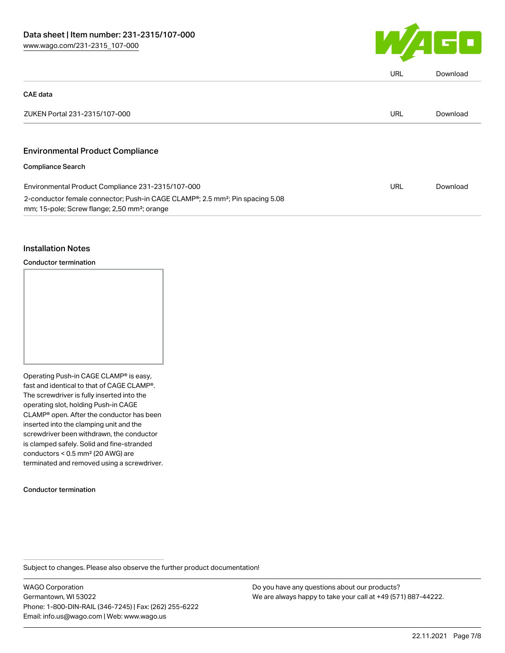

|                                                                                                                                                                    | URL        | Download |
|--------------------------------------------------------------------------------------------------------------------------------------------------------------------|------------|----------|
| <b>CAE</b> data                                                                                                                                                    |            |          |
| ZUKEN Portal 231-2315/107-000                                                                                                                                      | URL        | Download |
| <b>Environmental Product Compliance</b>                                                                                                                            |            |          |
| <b>Compliance Search</b>                                                                                                                                           |            |          |
| Environmental Product Compliance 231-2315/107-000                                                                                                                  | <b>URL</b> | Download |
| 2-conductor female connector; Push-in CAGE CLAMP <sup>®</sup> ; 2.5 mm <sup>2</sup> ; Pin spacing 5.08<br>mm; 15-pole; Screw flange; 2,50 mm <sup>2</sup> ; orange |            |          |

### Installation Notes

Conductor termination

Operating Push-in CAGE CLAMP® is easy, fast and identical to that of CAGE CLAMP®. The screwdriver is fully inserted into the operating slot, holding Push-in CAGE CLAMP® open. After the conductor has been inserted into the clamping unit and the screwdriver been withdrawn, the conductor is clamped safely. Solid and fine-stranded conductors < 0.5 mm² (20 AWG) are terminated and removed using a screwdriver.

Conductor termination

Subject to changes. Please also observe the further product documentation!

WAGO Corporation Germantown, WI 53022 Phone: 1-800-DIN-RAIL (346-7245) | Fax: (262) 255-6222 Email: info.us@wago.com | Web: www.wago.us